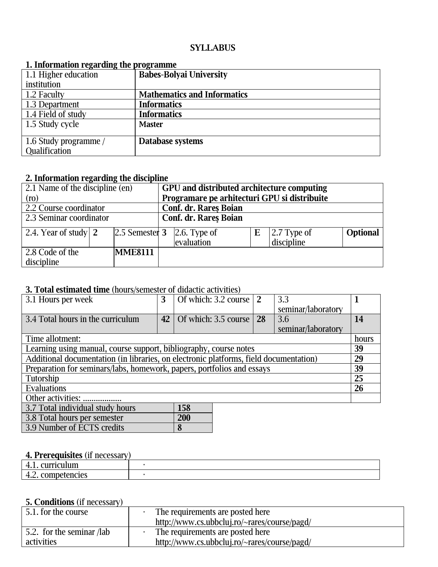#### **SYLLABUS**

| 1. 111101 magjon i czaruniz the prozramne |                                    |
|-------------------------------------------|------------------------------------|
| 1.1 Higher education                      | <b>Babes-Bolyai University</b>     |
| institution                               |                                    |
| 1.2 Faculty                               | <b>Mathematics and Informatics</b> |
| 1.3 Department                            | <b>Informatics</b>                 |
| 1.4 Field of study                        | <b>Informatics</b>                 |
| 1.5 Study cycle                           | <b>Master</b>                      |
|                                           |                                    |
| 1.6 Study programme /                     | Database systems                   |
| <b>Qualification</b>                      |                                    |

#### **1. Information regarding the programme**

## **2. Information regarding the discipline**

| 2.1 Name of the discipline (en) |                   | GPU and distributed architecture computing   |                |   |               |                 |
|---------------------------------|-------------------|----------------------------------------------|----------------|---|---------------|-----------------|
| (ro)                            |                   | Programare pe arhitecturi GPU si distribuite |                |   |               |                 |
| 2.2 Course coordinator          |                   | <b>Conf. dr. Rares Boian</b>                 |                |   |               |                 |
| 2.3 Seminar coordinator         |                   | Conf. dr. Rares Boian                        |                |   |               |                 |
| 2.4. Year of study   $2$        | $ 2.5$ Semester 3 |                                              | $2.6.$ Type of | E | $2.7$ Type of | <b>Optional</b> |
|                                 |                   |                                              | evaluation     |   | discipline    |                 |
| 2.8 Code of the                 | <b>MME8111</b>    |                                              |                |   |               |                 |
| discipline                      |                   |                                              |                |   |               |                 |

# **3. Total estimated time** (hours/semester of didactic activities)

| 3.1 Hours per week                                                                    | 3               | Of which: 3.2 course | $\overline{2}$ | 3.3                |       |
|---------------------------------------------------------------------------------------|-----------------|----------------------|----------------|--------------------|-------|
|                                                                                       |                 |                      |                | seminar/laboratory |       |
| 3.4 Total hours in the curriculum                                                     | 42 <sup>1</sup> | Of which: 3.5 course | 28             | 3.6                | 14    |
|                                                                                       |                 |                      |                | seminar/laboratory |       |
| Time allotment:                                                                       |                 |                      |                |                    | hours |
| Learning using manual, course support, bibliography, course notes                     |                 |                      |                |                    | 39    |
| Additional documentation (in libraries, on electronic platforms, field documentation) |                 |                      |                |                    |       |
| Preparation for seminars/labs, homework, papers, portfolios and essays                |                 |                      |                |                    | 39    |
| Tutorship                                                                             |                 |                      |                |                    |       |
| <b>Evaluations</b>                                                                    |                 |                      |                |                    |       |
| Other activities:                                                                     |                 |                      |                |                    |       |
| 3.7 Total individual study hours<br>158                                               |                 |                      |                |                    |       |
| 3.8 Total hours per semester                                                          |                 | 200                  |                |                    |       |
| 3.9 Number of ECTS credits                                                            |                 | 8                    |                |                    |       |

# **4. Prerequisites** (if necessary)

| - - -<br>- - - - - - -                                            |  |
|-------------------------------------------------------------------|--|
| <b><i>Provision</i></b><br>. .<br>the contract of the contract of |  |
| <b>T.L. COMPULLILLO</b>                                           |  |

## **5. Conditions** (if necessary)

| 5.1. for the course       | The requirements are posted here |                                              |  |
|---------------------------|----------------------------------|----------------------------------------------|--|
|                           |                                  | http://www.cs.ubbcluj.ro/~rares/course/pagd/ |  |
| 5.2. for the seminar /lab |                                  | The requirements are posted here             |  |
| activities                |                                  | http://www.cs.ubbcluj.ro/~rares/course/pagd/ |  |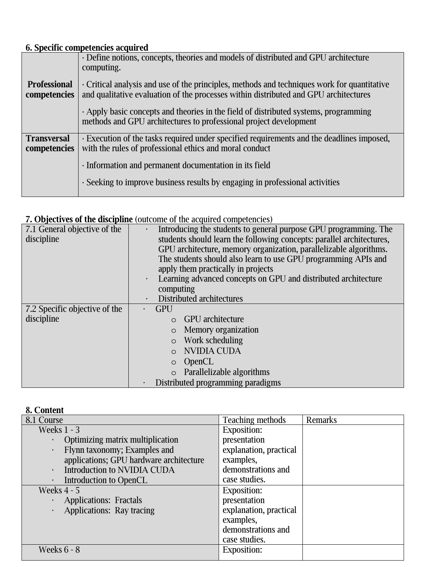## **6. Specific competencies acquired**

|                                     | · Define notions, concepts, theories and models of distributed and GPU architecture<br>computing.                                                                                   |
|-------------------------------------|-------------------------------------------------------------------------------------------------------------------------------------------------------------------------------------|
| <b>Professional</b><br>competencies | • Critical analysis and use of the principles, methods and techniques work for quantitative<br>and qualitative evaluation of the processes within distributed and GPU architectures |
|                                     | $\cdot$ Apply basic concepts and theories in the field of distributed systems, programming<br>methods and GPU architectures to professional project development                     |
| <b>Transversal</b><br>competencies  | · Execution of the tasks required under specified requirements and the deadlines imposed,<br>with the rules of professional ethics and moral conduct                                |
|                                     | · Information and permanent documentation in its field                                                                                                                              |
|                                     | · Seeking to improve business results by engaging in professional activities                                                                                                        |
|                                     |                                                                                                                                                                                     |

# **7. Objectives of the discipline** (outcome of the acquired competencies)

| 7.1 General objective of the  | Introducing the students to general purpose GPU programming. The<br>$\blacksquare$ |
|-------------------------------|------------------------------------------------------------------------------------|
| discipline                    | students should learn the following concepts: parallel architectures,              |
|                               | GPU architecture, memory organization, parallelizable algorithms.                  |
|                               | The students should also learn to use GPU programming APIs and                     |
|                               | apply them practically in projects                                                 |
|                               | Learning advanced concepts on GPU and distributed architecture                     |
|                               | computing                                                                          |
|                               | Distributed architectures<br>$\blacksquare$                                        |
| 7.2 Specific objective of the | <b>GPU</b>                                                                         |
| discipline                    | $\circ$ GPU architecture                                                           |
|                               | Memory organization                                                                |
|                               | Work scheduling                                                                    |
|                               | <b>NVIDIA CUDA</b>                                                                 |
|                               | <b>OpenCL</b><br>$\circ$                                                           |
|                               | Parallelizable algorithms<br>$\circ$                                               |
|                               | Distributed programming paradigms                                                  |

### **8. Content**

| 8.1 Course                                           | <b>Teaching methods</b> | <b>Remarks</b> |
|------------------------------------------------------|-------------------------|----------------|
| Weeks $1 - 3$                                        | <b>Exposition:</b>      |                |
| Optimizing matrix multiplication<br>٠                | presentation            |                |
| Flynn taxonomy; Examples and<br>$\blacksquare$       | explanation, practical  |                |
| applications; GPU hardware architecture              | examples,               |                |
| <b>Introduction to NVIDIA CUDA</b><br>$\blacksquare$ | demonstrations and      |                |
| Introduction to OpenCL<br>$\blacksquare$             | case studies.           |                |
| Weeks $4 - 5$                                        | <b>Exposition:</b>      |                |
| <b>Applications: Fractals</b><br>$\blacksquare$      | presentation            |                |
| <b>Applications: Ray tracing</b><br>$\blacksquare$   | explanation, practical  |                |
|                                                      | examples,               |                |
|                                                      | demonstrations and      |                |
|                                                      | case studies.           |                |
| <b>Weeks 6 - 8</b>                                   | <b>Exposition:</b>      |                |
|                                                      |                         |                |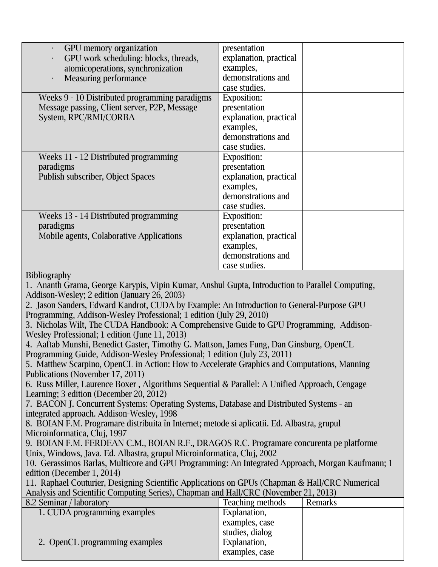| GPU memory organization                                                                                                      | presentation                    |                |  |  |  |  |
|------------------------------------------------------------------------------------------------------------------------------|---------------------------------|----------------|--|--|--|--|
| GPU work scheduling: blocks, threads,                                                                                        | explanation, practical          |                |  |  |  |  |
| atomicoperations, synchronization                                                                                            | examples,                       |                |  |  |  |  |
| <b>Measuring performance</b>                                                                                                 | demonstrations and              |                |  |  |  |  |
|                                                                                                                              | case studies.                   |                |  |  |  |  |
| Weeks 9 - 10 Distributed programming paradigms                                                                               | <b>Exposition:</b>              |                |  |  |  |  |
| Message passing, Client server, P2P, Message                                                                                 | presentation                    |                |  |  |  |  |
| System, RPC/RMI/CORBA                                                                                                        | explanation, practical          |                |  |  |  |  |
|                                                                                                                              | examples,<br>demonstrations and |                |  |  |  |  |
|                                                                                                                              | case studies.                   |                |  |  |  |  |
| Weeks 11 - 12 Distributed programming                                                                                        | <b>Exposition:</b>              |                |  |  |  |  |
| paradigms                                                                                                                    | presentation                    |                |  |  |  |  |
| Publish subscriber, Object Spaces                                                                                            | explanation, practical          |                |  |  |  |  |
|                                                                                                                              | examples,                       |                |  |  |  |  |
|                                                                                                                              | demonstrations and              |                |  |  |  |  |
|                                                                                                                              | case studies.                   |                |  |  |  |  |
| Weeks 13 - 14 Distributed programming                                                                                        | <b>Exposition:</b>              |                |  |  |  |  |
| paradigms                                                                                                                    | presentation                    |                |  |  |  |  |
| Mobile agents, Colaborative Applications                                                                                     | explanation, practical          |                |  |  |  |  |
|                                                                                                                              | examples,                       |                |  |  |  |  |
|                                                                                                                              | demonstrations and              |                |  |  |  |  |
|                                                                                                                              | case studies.                   |                |  |  |  |  |
| <b>Bibliography</b>                                                                                                          |                                 |                |  |  |  |  |
| 1. Ananth Grama, George Karypis, Vipin Kumar, Anshul Gupta, Introduction to Parallel Computing,                              |                                 |                |  |  |  |  |
| Addison-Wesley; 2 edition (January 26, 2003)                                                                                 |                                 |                |  |  |  |  |
| 2. Jason Sanders, Edward Kandrot, CUDA by Example: An Introduction to General-Purpose GPU                                    |                                 |                |  |  |  |  |
| Programming, Addison-Wesley Professional; 1 edition (July 29, 2010)                                                          |                                 |                |  |  |  |  |
| 3. Nicholas Wilt, The CUDA Handbook: A Comprehensive Guide to GPU Programming, Addison-                                      |                                 |                |  |  |  |  |
| Wesley Professional; 1 edition (June 11, 2013)                                                                               |                                 |                |  |  |  |  |
| 4. Aaftab Munshi, Benedict Gaster, Timothy G. Mattson, James Fung, Dan Ginsburg, OpenCL                                      |                                 |                |  |  |  |  |
| Programming Guide, Addison-Wesley Professional; 1 edition (July 23, 2011)                                                    |                                 |                |  |  |  |  |
| 5. Matthew Scarpino, OpenCL in Action: How to Accelerate Graphics and Computations, Manning                                  |                                 |                |  |  |  |  |
| Publications (November 17, 2011)                                                                                             |                                 |                |  |  |  |  |
| 6. Russ Miller, Laurence Boxer, Algorithms Sequential & Parallel: A Unified Approach, Cengage                                |                                 |                |  |  |  |  |
| Learning; 3 edition (December 20, 2012)                                                                                      |                                 |                |  |  |  |  |
| 7. BACON J. Concurrent Systems: Operating Systems, Database and Distributed Systems - an                                     |                                 |                |  |  |  |  |
| integrated approach. Addison-Wesley, 1998                                                                                    |                                 |                |  |  |  |  |
| 8. BOIAN F.M. Programare distribuita în Internet; metode si aplicatii. Ed. Albastra, grupul                                  |                                 |                |  |  |  |  |
| Microinformatica, Cluj, 1997                                                                                                 |                                 |                |  |  |  |  |
| 9. BOIAN F.M. FERDEAN C.M., BOIAN R.F., DRAGOS R.C. Programare concurenta pe platforme                                       |                                 |                |  |  |  |  |
| Unix, Windows, Java. Ed. Albastra, grupul Microinformatica, Cluj, 2002                                                       |                                 |                |  |  |  |  |
| 10. Gerassimos Barlas, Multicore and GPU Programming: An Integrated Approach, Morgan Kaufmann; 1                             |                                 |                |  |  |  |  |
| edition (December 1, 2014)<br>11. Raphael Couturier, Designing Scientific Applications on GPUs (Chapman & Hall/CRC Numerical |                                 |                |  |  |  |  |
| Analysis and Scientific Computing Series), Chapman and Hall/CRC (November 21, 2013)                                          |                                 |                |  |  |  |  |
| 8.2 Seminar / laboratory                                                                                                     | <b>Teaching methods</b>         | <b>Remarks</b> |  |  |  |  |
| 1. CUDA programming examples                                                                                                 | Explanation,                    |                |  |  |  |  |
|                                                                                                                              | examples, case                  |                |  |  |  |  |
|                                                                                                                              | studies, dialog                 |                |  |  |  |  |
| 2. OpenCL programming examples                                                                                               | Explanation,                    |                |  |  |  |  |
|                                                                                                                              | examples, case                  |                |  |  |  |  |
|                                                                                                                              |                                 |                |  |  |  |  |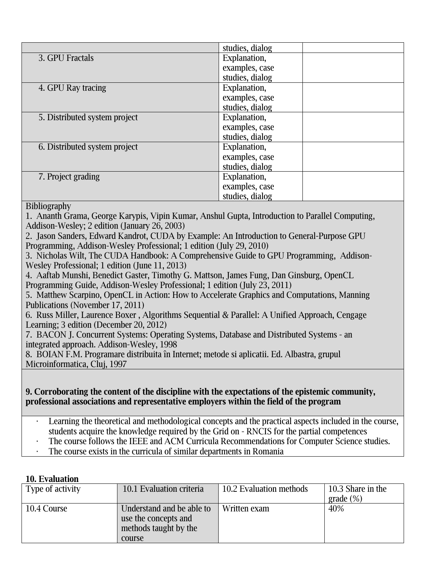|                               | studies, dialog |
|-------------------------------|-----------------|
| 3. GPU Fractals               | Explanation,    |
|                               | examples, case  |
|                               | studies, dialog |
| 4. GPU Ray tracing            | Explanation,    |
|                               | examples, case  |
|                               | studies, dialog |
| 5. Distributed system project | Explanation,    |
|                               | examples, case  |
|                               | studies, dialog |
| 6. Distributed system project | Explanation,    |
|                               | examples, case  |
|                               | studies, dialog |
| 7. Project grading            | Explanation,    |
|                               | examples, case  |
|                               | studies, dialog |

**Bibliography** 

1. Ananth Grama, George Karypis, Vipin Kumar, Anshul Gupta, Introduction to Parallel Computing, Addison-Wesley; 2 edition (January 26, 2003)

2. Jason Sanders, Edward Kandrot, CUDA by Example: An Introduction to General-Purpose GPU Programming, Addison-Wesley Professional; 1 edition (July 29, 2010)

3. Nicholas Wilt, The CUDA Handbook: A Comprehensive Guide to GPU Programming, Addison-Wesley Professional; 1 edition (June 11, 2013)

4. Aaftab Munshi, Benedict Gaster, Timothy G. Mattson, James Fung, Dan Ginsburg, OpenCL Programming Guide, Addison-Wesley Professional; 1 edition (July 23, 2011)

5. Matthew Scarpino, OpenCL in Action: How to Accelerate Graphics and Computations, Manning Publications (November 17, 2011)

6. Russ Miller, Laurence Boxer , Algorithms Sequential & Parallel: A Unified Approach, Cengage Learning; 3 edition (December 20, 2012)

7. BACON J. Concurrent Systems: Operating Systems, Database and Distributed Systems - an integrated approach. Addison-Wesley, 1998

8. BOIAN F.M. Programare distribuita în Internet; metode si aplicatii. Ed. Albastra, grupul Microinformatica, Cluj, 1997

#### **9. Corroborating the content of the discipline with the expectations of the epistemic community, professional associations and representative employers within the field of the program**

- Learning the theoretical and methodological concepts and the practical aspects included in the course, students acquire the knowledge required by the Grid on - RNCIS for the partial competences
- The course follows the IEEE and ACM Curricula Recommendations for Computer Science studies.
- The course exists in the curricula of similar departments in Romania

# **10. Evaluation**

| Type of activity | 10.1 Evaluation criteria                                                             | 10.2 Evaluation methods | 10.3 Share in the<br>grade $(\%)$ |
|------------------|--------------------------------------------------------------------------------------|-------------------------|-----------------------------------|
| 10.4 Course      | Understand and be able to<br>use the concepts and<br>methods taught by the<br>course | Written exam            | 40%                               |